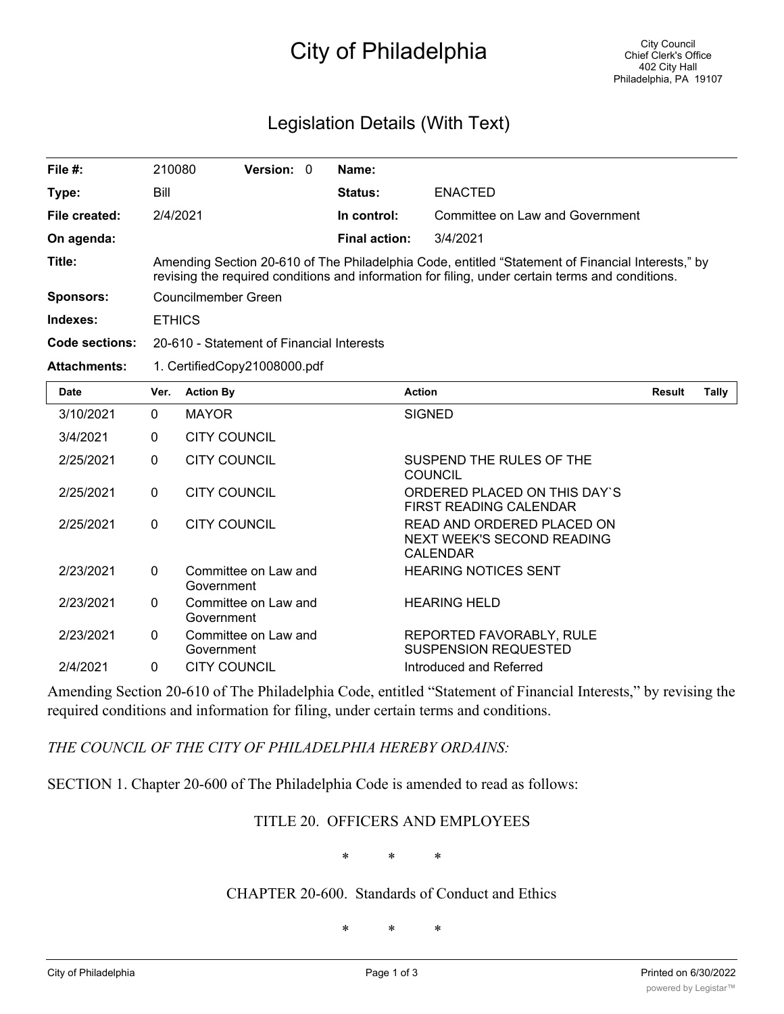## City of Philadelphia

## Legislation Details (With Text)

| File $#$ :            | 210080                                                                                                                                                                                                | <b>Version:</b> | $\Omega$ | Name:                |                                 |  |  |  |  |
|-----------------------|-------------------------------------------------------------------------------------------------------------------------------------------------------------------------------------------------------|-----------------|----------|----------------------|---------------------------------|--|--|--|--|
| Type:                 | Bill                                                                                                                                                                                                  |                 |          | <b>Status:</b>       | <b>ENACTED</b>                  |  |  |  |  |
| File created:         | 2/4/2021                                                                                                                                                                                              |                 |          | In control:          | Committee on Law and Government |  |  |  |  |
| On agenda:            |                                                                                                                                                                                                       |                 |          | <b>Final action:</b> | 3/4/2021                        |  |  |  |  |
| Title:                | Amending Section 20-610 of The Philadelphia Code, entitled "Statement of Financial Interests," by<br>revising the required conditions and information for filing, under certain terms and conditions. |                 |          |                      |                                 |  |  |  |  |
| <b>Sponsors:</b>      | Councilmember Green                                                                                                                                                                                   |                 |          |                      |                                 |  |  |  |  |
| Indexes:              | <b>ETHICS</b>                                                                                                                                                                                         |                 |          |                      |                                 |  |  |  |  |
| <b>Code sections:</b> | 20-610 - Statement of Financial Interests                                                                                                                                                             |                 |          |                      |                                 |  |  |  |  |
| <b>Attachments:</b>   | 1. CertifiedCopy21008000.pdf                                                                                                                                                                          |                 |          |                      |                                 |  |  |  |  |
| Date                  | <b>Action By</b><br>Ver.                                                                                                                                                                              |                 |          | <b>Action</b>        | Tally<br>Result                 |  |  |  |  |

| <b>Date</b> | Ver.         | <b>Action By</b>                   | <b>Action</b>                                                               | Result | Tally |
|-------------|--------------|------------------------------------|-----------------------------------------------------------------------------|--------|-------|
| 3/10/2021   | $\Omega$     | <b>MAYOR</b>                       | <b>SIGNED</b>                                                               |        |       |
| 3/4/2021    | $\Omega$     | <b>CITY COUNCIL</b>                |                                                                             |        |       |
| 2/25/2021   | $\mathbf{0}$ | <b>CITY COUNCIL</b>                | SUSPEND THE RULES OF THE<br><b>COUNCIL</b>                                  |        |       |
| 2/25/2021   | $\Omega$     | <b>CITY COUNCIL</b>                | ORDERED PLACED ON THIS DAY'S<br>FIRST READING CALENDAR                      |        |       |
| 2/25/2021   | $\Omega$     | <b>CITY COUNCIL</b>                | READ AND ORDERED PLACED ON<br>NEXT WEEK'S SECOND READING<br><b>CALENDAR</b> |        |       |
| 2/23/2021   | $\Omega$     | Committee on Law and<br>Government | <b>HEARING NOTICES SENT</b>                                                 |        |       |
| 2/23/2021   | $\Omega$     | Committee on Law and<br>Government | <b>HEARING HELD</b>                                                         |        |       |
| 2/23/2021   | $\Omega$     | Committee on Law and<br>Government | REPORTED FAVORABLY, RULE<br><b>SUSPENSION REQUESTED</b>                     |        |       |
| 2/4/2021    | $\mathbf{0}$ | <b>CITY COUNCIL</b>                | Introduced and Referred                                                     |        |       |

Amending Section 20-610 of The Philadelphia Code, entitled "Statement of Financial Interests," by revising the required conditions and information for filing, under certain terms and conditions.

*THE COUNCIL OF THE CITY OF PHILADELPHIA HEREBY ORDAINS:*

SECTION 1. Chapter 20-600 of The Philadelphia Code is amended to read as follows:

## TITLE 20. OFFICERS AND EMPLOYEES

\* \* \*

## CHAPTER 20-600. Standards of Conduct and Ethics

\* \* \*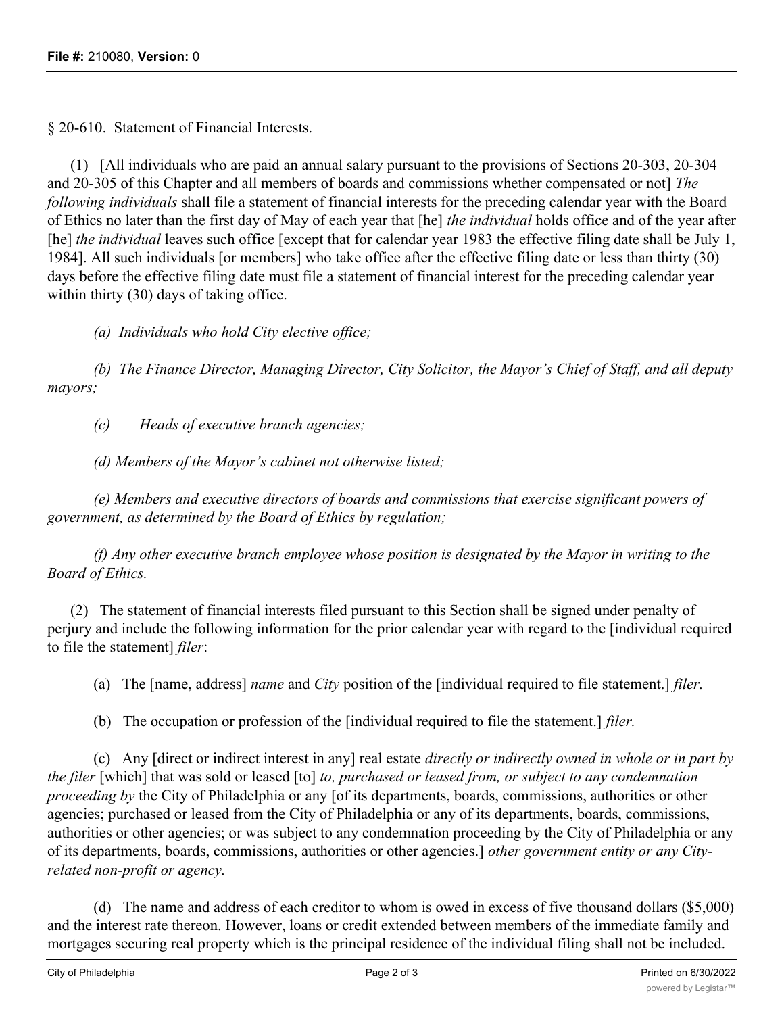§ 20-610. Statement of Financial Interests.

(1) [All individuals who are paid an annual salary pursuant to the provisions of Sections 20-303, 20-304 and 20-305 of this Chapter and all members of boards and commissions whether compensated or not] *The following individuals* shall file a statement of financial interests for the preceding calendar year with the Board of Ethics no later than the first day of May of each year that [he] *the individual* holds office and of the year after [he] *the individual* leaves such office [except that for calendar year 1983 the effective filing date shall be July 1, 1984]. All such individuals [or members] who take office after the effective filing date or less than thirty (30) days before the effective filing date must file a statement of financial interest for the preceding calendar year within thirty (30) days of taking office.

*(a) Individuals who hold City elective office;*

*(b) The Finance Director, Managing Director, City Solicitor, the Mayor's Chief of Staff, and all deputy mayors;*

*(c) Heads of executive branch agencies;*

*(d) Members of the Mayor's cabinet not otherwise listed;*

*(e) Members and executive directors of boards and commissions that exercise significant powers of government, as determined by the Board of Ethics by regulation;*

*(f) Any other executive branch employee whose position is designated by the Mayor in writing to the Board of Ethics.*

(2) The statement of financial interests filed pursuant to this Section shall be signed under penalty of perjury and include the following information for the prior calendar year with regard to the [individual required to file the statement] *filer*:

(a) The [name, address] *name* and *City* position of the [individual required to file statement.] *filer.*

(b) The occupation or profession of the [individual required to file the statement.] *filer.*

(c) Any [direct or indirect interest in any] real estate *directly or indirectly owned in whole or in part by the filer* [which] that was sold or leased [to] *to, purchased or leased from, or subject to any condemnation proceeding by* the City of Philadelphia or any [of its departments, boards, commissions, authorities or other agencies; purchased or leased from the City of Philadelphia or any of its departments, boards, commissions, authorities or other agencies; or was subject to any condemnation proceeding by the City of Philadelphia or any of its departments, boards, commissions, authorities or other agencies.] *other government entity or any Cityrelated non-profit or agency.*

(d) The name and address of each creditor to whom is owed in excess of five thousand dollars (\$5,000) and the interest rate thereon. However, loans or credit extended between members of the immediate family and mortgages securing real property which is the principal residence of the individual filing shall not be included.